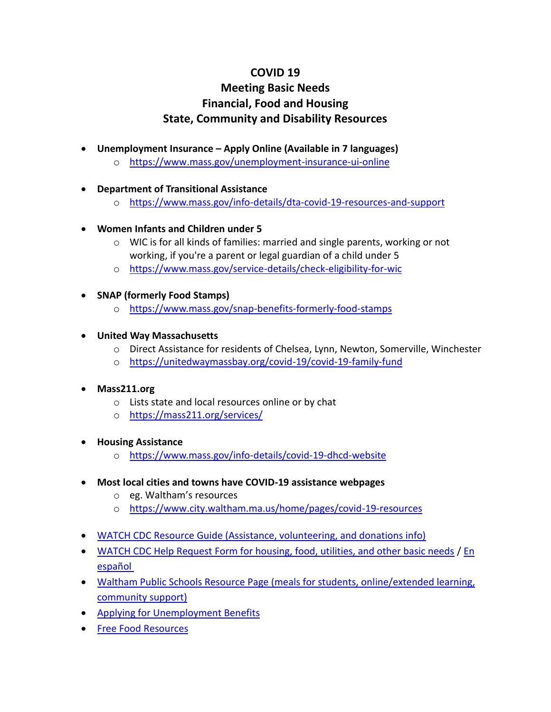## **COVID 19**

## **Meeting Basic Needs Financial, Food and Housing State, Community and Disability Resources**

- **Unemployment Insurance – Apply Online (Available in 7 languages)**
	- o <https://www.mass.gov/unemployment-insurance-ui-online>
- **Department of Transitional Assistance**
	- o [https://www.mass.gov/info](https://www.mass.gov/info-details/dta-covid-19-resources-and-support)-details/dta-covid-19-resources-and-support
- **Women Infants and Children under 5**
	- o WIC is for all kinds of families: married and single parents, working or not working, if you're a parent or legal guardian of a child under 5
	- o [https://www.mass.gov/service](https://www.mass.gov/service-details/check-eligibility-for-wic)-details/check-eligibility-for-wic
- **SNAP (formerly Food Stamps)**
	- o [https://www.mass.gov/snap](https://www.mass.gov/snap-benefits-formerly-food-stamps)-benefits-formerly-food-stamps
- **United Way Massachusetts**
	- o Direct Assistance for residents of Chelsea, Lynn, Newton, Somerville, Winchester
	- o <https://unitedwaymassbay.org/covid-19/covid-19-family-fund>
- **Mass211.org**
	- o Lists state and local resources online or by chat
	- o <https://mass211.org/services/>
- **Housing Assistance**
	- o [https://www.mass.gov/info](https://www.mass.gov/info-details/covid-19-dhcd-website)-details/covid-19-dhcd-website
- **Most local cities and towns have COVID-19 assistance webpages**
	- o eg. Waltham's resources
	- o <https://www.city.waltham.ma.us/home/pages/covid-19-resources>
- [WATCH CDC Resource Guide \(Assistance, volunteering, and donations info\)](https://watchcdc.org/covid-19-resource-guide-waltham/)
- [WATCH CDC Help Request Form for housing, food, utilities, and other basic needs](https://docs.google.com/forms/d/e/1FAIpQLSevslXRcFE4TUqjiId_qPg8wNmz7M1pGvkE7s8-ZTPkD6sfFw/viewform) / [En](https://watchcdc.org/covid19-en-espanol) [español](https://watchcdc.org/covid19-en-espanol)
- [Waltham Public Schools Resource Page \(meals for students, online/extended learning,](https://www.walthampublicschools.org/parents/covid-19)  [community](https://www.walthampublicschools.org/parents/covid-19) support)
- [Applying for Unemployment Benefits](https://www.mass.gov/applying-for-unemployment-benefits)
- [Free Food Resources](http://watchcdc.org/wp-content/uploads/2020/04/weekly-food-guide-April-6-to-13-2020.pdf)